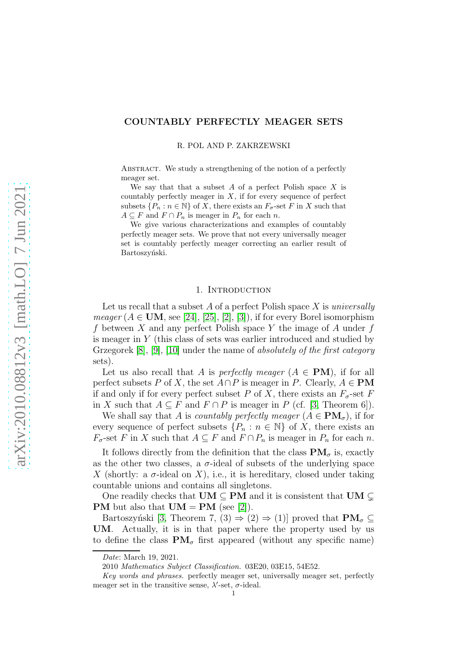# COUNTABLY PERFECTLY MEAGER SETS

R. POL AND P. ZAKRZEWSKI

ABSTRACT. We study a strengthening of the notion of a perfectly meager set.

We say that that a subset A of a perfect Polish space X is countably perfectly meager in  $X$ , if for every sequence of perfect subsets  $\{P_n : n \in \mathbb{N}\}\$  of X, there exists an  $F_{\sigma}$ -set F in X such that  $A \subseteq F$  and  $F \cap P_n$  is meager in  $P_n$  for each n.

We give various characterizations and examples of countably perfectly meager sets. We prove that not every universally meager set is countably perfectly meager correcting an earlier result of Bartoszyński.

### 1. Introduction

Let us recall that a subset  $A$  of a perfect Polish space  $X$  is universally *meager* ( $A \in \text{UM}$ , see [\[24\]](#page-16-0), [\[25\]](#page-16-1), [\[2\]](#page-15-0), [\[3\]](#page-15-1)), if for every Borel isomorphism f between X and any perfect Polish space Y the image of A under  $f$ is meager in Y (this class of sets was earlier introduced and studied by Grzegorek [\[8\]](#page-15-2), [\[9\]](#page-15-3), [\[10\]](#page-15-4) under the name of absolutely of the first category sets).

Let us also recall that A is *perfectly meager*  $(A \in PM)$ , if for all perfect subsets P of X, the set  $A \cap P$  is meager in P. Clearly,  $A \in PM$ if and only if for every perfect subset P of X, there exists an  $F_{\sigma}$ -set F in X such that  $A \subseteq F$  and  $F \cap P$  is meager in P (cf. [\[3,](#page-15-1) Theorem 6]).

We shall say that A is countably perfectly meager  $(A \in PM_{\sigma})$ , if for every sequence of perfect subsets  $\{P_n : n \in \mathbb{N}\}\$  of X, there exists an  $F_{\sigma}$ -set F in X such that  $A \subseteq F$  and  $F \cap P_n$  is meager in  $P_n$  for each n.

It follows directly from the definition that the class  $\mathbf{PM}_{\sigma}$  is, exactly as the other two classes, a  $\sigma$ -ideal of subsets of the underlying space X (shortly: a  $\sigma$ -ideal on X), i.e., it is hereditary, closed under taking countable unions and contains all singletons.

One readily checks that  $UM \subseteq PM$  and it is consistent that  $UM \subset$ **PM** but also that  $UM = PM$  (see [\[2\]](#page-15-0)).

Bartoszyński [\[3,](#page-15-1) Theorem 7, (3)  $\Rightarrow$  (2)  $\Rightarrow$  (1)] proved that  $\mathbf{PM}_{\sigma} \subseteq$ UM. Actually, it is in that paper where the property used by us to define the class  $\mathbf{PM}_{\sigma}$  first appeared (without any specific name)

*Date*: March 19, 2021.

<sup>2010</sup> *Mathematics Subject Classification.* 03E20, 03E15, 54E52.

*Key words and phrases.* perfectly meager set, universally meager set, perfectly meager set in the transitive sense,  $\lambda'$ -set,  $\sigma$ -ideal.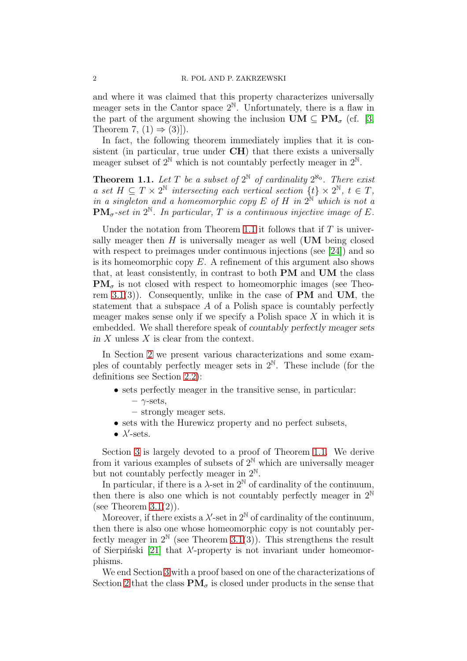and where it was claimed that this property characterizes universally meager sets in the Cantor space  $2^{\mathbb{N}}$ . Unfortunately, there is a flaw in the part of the argument showing the inclusion  $\mathbf{UM} \subset \mathbf{PM}_{\sigma}$  (cf. [\[3,](#page-15-1) Theorem 7,  $(1) \Rightarrow (3)$ ].

In fact, the following theorem immediately implies that it is consistent (in particular, true under CH) that there exists a universally meager subset of  $2^{\mathbb{N}}$  which is not countably perfectly meager in  $2^{\mathbb{N}}$ .

<span id="page-1-0"></span>**Theorem 1.1.** Let T be a subset of  $2^{\mathbb{N}}$  of cardinality  $2^{\aleph_0}$ . There exist a set  $H \subseteq T \times 2^{\mathbb{N}}$  intersecting each vertical section  $\{t\} \times 2^{\mathbb{N}}, t \in T$ , in a singleton and a homeomorphic copy E of H in  $2^{\mathbb{N}}$  which is not a  $\text{PM}_{\sigma}$ -set in  $2^{\mathbb{N}}$ . In particular, T is a continuous injective image of E.

Under the notation from Theorem [1.1](#page-1-0) it follows that if  $T$  is universally meager then  $H$  is universally meager as well (UM being closed with respect to preimages under continuous injections (see [\[24\]](#page-16-0)) and so is its homeomorphic copy  $E$ . A refinement of this argument also shows that, at least consistently, in contrast to both PM and UM the class  $\text{PM}_{\sigma}$  is not closed with respect to homeomorphic images (see Theorem  $3.1(3)$ ). Consequently, unlike in the case of PM and UM, the statement that a subspace A of a Polish space is countably perfectly meager makes sense only if we specify a Polish space  $X$  in which it is embedded. We shall therefore speak of countably perfectly meager sets in  $X$  unless  $X$  is clear from the context.

In Section [2](#page-2-0) we present various characterizations and some examples of countably perfectly meager sets in  $2^{\mathbb{N}}$ . These include (for the definitions see Section [2.2\)](#page-5-0):

- sets perfectly meager in the transitive sense, in particular:
	- $\gamma$ -sets,
	- strongly meager sets.
- sets with the Hurewicz property and no perfect subsets,
- $\bullet$   $\lambda'$ -sets.

Section [3](#page-7-0) is largely devoted to a proof of Theorem [1.1.](#page-1-0) We derive from it various examples of subsets of  $2^N$  which are universally meager but not countably perfectly meager in  $2^{\mathbb{N}}$ .

In particular, if there is a  $\lambda$ -set in  $2^{\mathbb{N}}$  of cardinality of the continuum, then there is also one which is not countably perfectly meager in  $2^{\mathbb{N}}$ (see Theorem  $3.1(2)$ ).

Moreover, if there exists a  $\lambda'$ -set in  $2^{\mathbb{N}}$  of cardinality of the continuum, then there is also one whose homeomorphic copy is not countably perfectly meager in  $2^{\mathbb{N}}$  (see Theorem [3.1\(](#page-9-0)3)). This strengthens the result of Sierpiński [\[21\]](#page-16-2) that  $\lambda'$ -property is not invariant under homeomorphisms.

We end Section [3](#page-7-0) with a proof based on one of the characterizations of Section [2](#page-2-0) that the class  $\mathbf{PM}_{\sigma}$  is closed under products in the sense that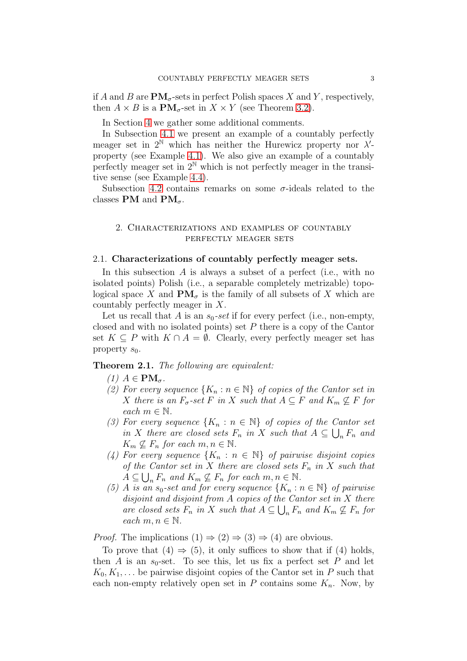if A and B are  $PM_{\sigma}$ -sets in perfect Polish spaces X and Y, respectively, then  $A \times B$  is a  $\text{PM}_{\sigma}$ -set in  $X \times Y$  (see Theorem [3.2\)](#page-10-0).

In Section [4](#page-10-1) we gather some additional comments.

In Subsection [4.1](#page-10-2) we present an example of a countably perfectly meager set in  $2^N$  which has neither the Hurewicz property nor  $\lambda'$ property (see Example [4.1\)](#page-11-0). We also give an example of a countably perfectly meager set in  $2^N$  which is not perfectly meager in the transitive sense (see Example [4.4\)](#page-13-0).

Subsection [4.2](#page-13-1) contains remarks on some  $\sigma$ -ideals related to the classes PM and  $\text{PM}_{\sigma}$ .

## <span id="page-2-0"></span>2. Characterizations and examples of countably perfectly meager sets

#### 2.1. Characterizations of countably perfectly meager sets.

In this subsection A is always a subset of a perfect (i.e., with no isolated points) Polish (i.e., a separable completely metrizable) topological space X and  $\mathbf{PM}_{\sigma}$  is the family of all subsets of X which are countably perfectly meager in X.

Let us recall that A is an  $s_0$ -set if for every perfect (i.e., non-empty, closed and with no isolated points) set  $P$  there is a copy of the Cantor set  $K \subseteq P$  with  $K \cap A = \emptyset$ . Clearly, every perfectly meager set has property  $s_0$ .

# <span id="page-2-1"></span>Theorem 2.1. The following are equivalent:

- (1)  $A \in PM_{\sigma}$ .
- (2) For every sequence  $\{K_n : n \in \mathbb{N}\}\$  of copies of the Cantor set in X there is an  $F_{\sigma}$ -set F in X such that  $A \subseteq F$  and  $K_m \nsubseteq F$  for each  $m \in \mathbb{N}$ .
- (3) For every sequence  $\{K_n : n \in \mathbb{N}\}\$  of copies of the Cantor set in X there are closed sets  $F_n$  in X such that  $A \subseteq \bigcup_n F_n$  and  $K_m \nsubseteq F_n$  for each  $m, n \in \mathbb{N}$ .
- (4) For every sequence  $\{K_n : n \in \mathbb{N}\}\$  of pairwise disjoint copies of the Cantor set in X there are closed sets  $F_n$  in X such that  $A \subseteq \bigcup_n F_n$  and  $K_m \not\subseteq F_n$  for each  $m, n \in \mathbb{N}$ .
- (5) A is an  $s_0$ -set and for every sequence  $\{K_n : n \in \mathbb{N}\}\$  of pairwise disjoint and disjoint from A copies of the Cantor set in X there are closed sets  $F_n$  in X such that  $A \subseteq \bigcup_n F_n$  and  $K_m \not\subseteq F_n$  for each  $m, n \in \mathbb{N}$ .

*Proof.* The implications  $(1) \Rightarrow (2) \Rightarrow (3) \Rightarrow (4)$  are obvious.

To prove that  $(4) \Rightarrow (5)$ , it only suffices to show that if  $(4)$  holds, then A is an  $s_0$ -set. To see this, let us fix a perfect set P and let  $K_0, K_1, \ldots$  be pairwise disjoint copies of the Cantor set in P such that each non-empty relatively open set in P contains some  $K_n$ . Now, by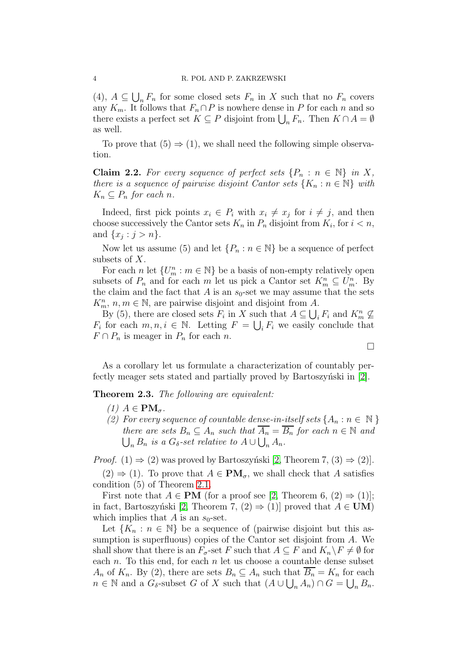(4),  $A \subseteq \bigcup_n F_n$  for some closed sets  $F_n$  in X such that no  $F_n$  covers any  $K_m$ . It follows that  $F_n \cap P$  is nowhere dense in P for each n and so there exists a perfect set  $K \subseteq P$  disjoint from  $\bigcup_n F_n$ . Then  $K \cap A = \emptyset$ as well.

To prove that  $(5) \Rightarrow (1)$ , we shall need the following simple observation.

**Claim 2.2.** For every sequence of perfect sets  $\{P_n : n \in \mathbb{N}\}\$ in X, there is a sequence of pairwise disjoint Cantor sets  $\{K_n : n \in \mathbb{N}\}\$  with  $K_n \subseteq P_n$  for each n.

Indeed, first pick points  $x_i \in P_i$  with  $x_i \neq x_j$  for  $i \neq j$ , and then choose successively the Cantor sets  $K_n$  in  $P_n$  disjoint from  $K_i$ , for  $i < n$ , and  $\{x_j : j > n\}.$ 

Now let us assume (5) and let  $\{P_n : n \in \mathbb{N}\}\$  be a sequence of perfect subsets of X.

For each *n* let  $\{U_m^n : m \in \mathbb{N}\}\$  be a basis of non-empty relatively open subsets of  $P_n$  and for each m let us pick a Cantor set  $K_m^n \subseteq U_m^n$ . By the claim and the fact that A is an  $s_0$ -set we may assume that the sets  $K_m^n$ ,  $n, m \in \mathbb{N}$ , are pairwise disjoint and disjoint from A.

By (5), there are closed sets  $F_i$  in X such that  $A \subseteq \bigcup_i F_i$  and  $K_m^n \not\subseteq$  $F_i$  for each  $m, n, i \in \mathbb{N}$ . Letting  $F = \bigcup_i F_i$  we easily conclude that  $F \cap P_n$  is meager in  $P_n$  for each n.

 $\Box$ 

As a corollary let us formulate a characterization of countably perfectly meager sets stated and partially proved by Bartoszynski in  $[2]$ .

<span id="page-3-0"></span>Theorem 2.3. The following are equivalent:

- (1)  $A \in PM_{\sigma}$ .
- (2) For every sequence of countable dense-in-itself sets  $\{A_n : n \in \mathbb{N}\}\$  $\bigcup_n B_n$  is a  $G_\delta$ -set relative to  $A \cup \bigcup_n A_n$ . there are sets  $B_n \subseteq A_n$  such that  $\overline{A_n} = \overline{B_n}$  for each  $n \in \mathbb{N}$  and

*Proof.* (1)  $\Rightarrow$  (2) was proved by Bartoszynski [\[2,](#page-15-0) Theorem 7, (3)  $\Rightarrow$  (2)].

 $(2) \Rightarrow (1)$ . To prove that  $A \in PM_{\sigma}$ , we shall check that A satisfies condition (5) of Theorem [2.1.](#page-2-1)

First note that  $A \in PM$  (for a proof see [\[2,](#page-15-0) Theorem 6, (2)  $\Rightarrow$  (1)]; in fact, Bartoszyński [\[2,](#page-15-0) Theorem 7, (2)  $\Rightarrow$  (1)] proved that  $A \in \mathbf{UM}$ ) which implies that A is an  $s_0$ -set.

Let  ${K_n : n \in \mathbb{N}}$  be a sequence of (pairwise disjoint but this assumption is superfluous) copies of the Cantor set disjoint from A. We shall show that there is an  $F_{\sigma}$ -set F such that  $A \subseteq F$  and  $K_n \backslash F \neq \emptyset$  for each  $n$ . To this end, for each  $n$  let us choose a countable dense subset  $A_n$  of  $K_n$ . By (2), there are sets  $B_n \subseteq A_n$  such that  $\overline{B_n} = K_n$  for each  $n \in \mathbb{N}$  and a  $G_{\delta}$ -subset G of X such that  $(A \cup \bigcup_n A_n) \cap G = \bigcup_n B_n$ .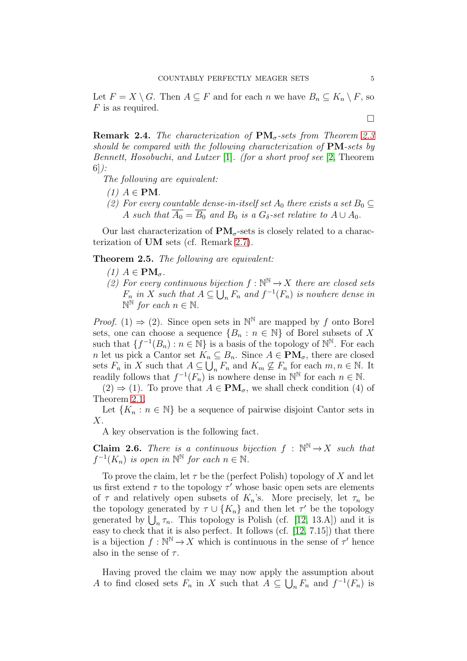Let  $F = X \setminus G$ . Then  $A \subseteq F$  and for each n we have  $B_n \subseteq K_n \setminus F$ , so  $F$  is as required.

**Remark 2.4.** The characterization of  $PM_{\sigma}$ -sets from Theorem [2.3](#page-3-0) should be compared with the following characterization of  $PM$ -sets by Bennett, Hosobuchi, and Lutzer [\[1\]](#page-15-5). (for a short proof see [\[2,](#page-15-0) Theorem 6]):

The following are equivalent:

- $(1)$   $A \in PM$ .
- (2) For every countable dense-in-itself set  $A_0$  there exists a set  $B_0 \subseteq$ A such that  $\overline{A_0} = \overline{B_0}$  and  $B_0$  is a  $G_\delta$ -set relative to  $A \cup A_0$ .

Our last characterization of  $PM_{\sigma}$ -sets is closely related to a characterization of UM sets (cf. Remark [2.7\)](#page-5-1).

<span id="page-4-0"></span>Theorem 2.5. The following are equivalent:

- (1)  $A \in PM_{\sigma}$ .
- (2) For every continuous bijection  $f : \mathbb{N}^{\mathbb{N}} \to X$  there are closed sets  $F_n$  in X such that  $A \subseteq \bigcup_n F_n$  and  $f^{-1}(F_n)$  is nowhere dense in  $\mathbb{N}^{\mathbb{N}}$  for each  $n \in \mathbb{N}$ .

*Proof.* (1)  $\Rightarrow$  (2). Since open sets in  $\mathbb{N}^{\mathbb{N}}$  are mapped by f onto Borel sets, one can choose a sequence  $\{B_n : n \in \mathbb{N}\}\$  of Borel subsets of X such that  $\{f^{-1}(B_n) : n \in \mathbb{N}\}\$ is a basis of the topology of  $\mathbb{N}^{\mathbb{N}}$ . For each n let us pick a Cantor set  $K_n \subseteq B_n$ . Since  $A \in PM_{\sigma}$ , there are closed sets  $F_n$  in X such that  $A \subseteq \bigcup_n F_n$  and  $K_m \nsubseteq F_n$  for each  $m, n \in \mathbb{N}$ . It readily follows that  $f^{-1}(F_n)$  is nowhere dense in  $\mathbb{N}^{\mathbb{N}}$  for each  $n \in \mathbb{N}$ .

 $(2) \Rightarrow (1)$ . To prove that  $A \in PM_{\sigma}$ , we shall check condition (4) of Theorem [2.1.](#page-2-1)

Let  ${K_n : n \in \mathbb{N}}$  be a sequence of pairwise disjoint Cantor sets in X.

A key observation is the following fact.

**Claim 2.6.** There is a continuous bijection  $f : \mathbb{N}^{\mathbb{N}} \to X$  such that  $f^{-1}(K_n)$  is open in  $\mathbb{N}^{\mathbb{N}}$  for each  $n \in \mathbb{N}$ .

To prove the claim, let  $\tau$  be the (perfect Polish) topology of X and let us first extend  $\tau$  to the topology  $\tau'$  whose basic open sets are elements of  $\tau$  and relatively open subsets of  $K_n$ 's. More precisely, let  $\tau_n$  be the topology generated by  $\tau \cup \{K_n\}$  and then let  $\tau'$  be the topology generated by  $\bigcup_n \tau_n$ . This topology is Polish (cf. [\[12,](#page-16-3) 13.A]) and it is easy to check that it is also perfect. It follows (cf.  $[12, 7.15]$ ) that there is a bijection  $f : \mathbb{N}^{\mathbb{N}} \to X$  which is continuous in the sense of  $\tau'$  hence also in the sense of  $\tau$ .

Having proved the claim we may now apply the assumption about A to find closed sets  $F_n$  in X such that  $A \subseteq \bigcup_n F_n$  and  $f^{-1}(F_n)$  is

 $\Box$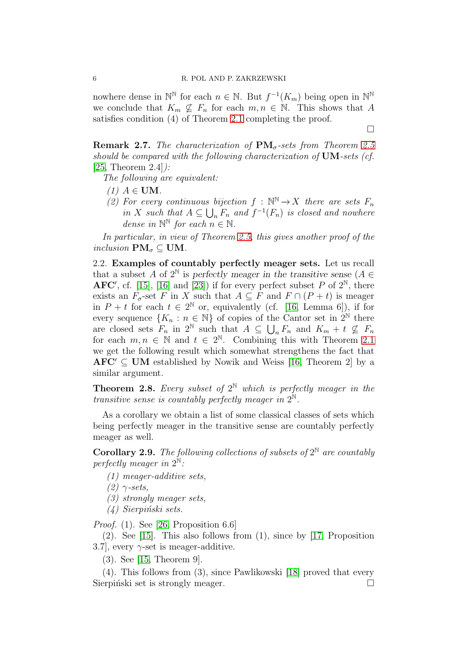#### 6 R. POL AND P. ZAKRZEWSKI

nowhere dense in  $\mathbb{N}^{\mathbb{N}}$  for each  $n \in \mathbb{N}$ . But  $f^{-1}(K_m)$  being open in  $\mathbb{N}^{\mathbb{N}}$ we conclude that  $K_m \nsubseteq F_n$  for each  $m, n \in \mathbb{N}$ . This shows that A satisfies condition (4) of Theorem [2.1](#page-2-1) completing the proof.

 $\Box$ 

<span id="page-5-1"></span>**Remark 2.7.** The characterization of  $PM_{\sigma}$ -sets from Theorem [2.5](#page-4-0) should be compared with the following characterization of UM-sets (cf.  $[25,$  Theorem  $2.4$ ]:

The following are equivalent:

- (1)  $A \in$  UM.
- (2) For every continuous bijection  $f : \mathbb{N}^{\mathbb{N}} \to X$  there are sets  $F_n$ in X such that  $A \subseteq \bigcup_n F_n$  and  $f^{-1}(F_n)$  is closed and nowhere dense in  $\mathbb{N}^{\mathbb{N}}$  for each  $n \in \mathbb{N}$ .

In particular, in view of Theorem [2.5,](#page-4-0) this gives another proof of the inclusion  $\mathbf{PM}_{\sigma} \subseteq \mathbf{UM}$ .

<span id="page-5-0"></span>2.2. Examples of countably perfectly meager sets. Let us recall that a subset A of  $2^{\mathbb{N}}$  is perfectly meager in the transitive sense  $(A \in$ AFC', cf. [\[15\]](#page-16-4), [\[16\]](#page-16-5) and [\[23\]](#page-16-6)) if for every perfect subset  $P$  of  $2^{\mathbb{N}}$ , there exists an  $F_{\sigma}$ -set F in X such that  $A \subseteq F$  and  $F \cap (P + t)$  is meager in  $P + t$  for each  $t \in 2^{\mathbb{N}}$  or, equivalently (cf. [\[16,](#page-16-5) Lemma 6]), if for every sequence  $\{K_n : n \in \mathbb{N}\}\$  of copies of the Cantor set in  $2^{\mathbb{N}}$  there are closed sets  $F_n$  in  $2^{\mathbb{N}}$  such that  $A \subseteq \bigcup_n F_n$  and  $K_m + t \nsubseteq F_n$ for each  $m, n \in \mathbb{N}$  and  $t \in 2^{\mathbb{N}}$ . Combining this with Theorem [2.1](#page-2-1) we get the following result which somewhat strengthens the fact that  $AFC' \subseteq UM$  established by Nowik and Weiss [\[16,](#page-16-5) Theorem 2] by a similar argument.

**Theorem 2.8.** Every subset of  $2^N$  which is perfectly meager in the transitive sense is countably perfectly meager in  $2^{\mathbb{N}}$ .

As a corollary we obtain a list of some classical classes of sets which being perfectly meager in the transitive sense are countably perfectly meager as well.

<span id="page-5-2"></span>**Corollary 2.9.** The following collections of subsets of  $2^N$  are countably perfectly meager in  $2^{\mathbb{N}}$ :

- (1) meager-additive sets,
- $(2)$   $\gamma$ -sets,
- (3) strongly meager sets,
- $(4)$  Sierpiński sets.

*Proof.* (1). See [\[26,](#page-16-7) Proposition 6.6]

(2). See [\[15\]](#page-16-4). This also follows from (1), since by [\[17,](#page-16-8) Proposition 3.7, every  $\gamma$ -set is meager-additive.

(3). See [\[15,](#page-16-4) Theorem 9].

(4). This follows from (3), since Pawlikowski [\[18\]](#page-16-9) proved that every Sierpiński set is strongly meager.  $\Box$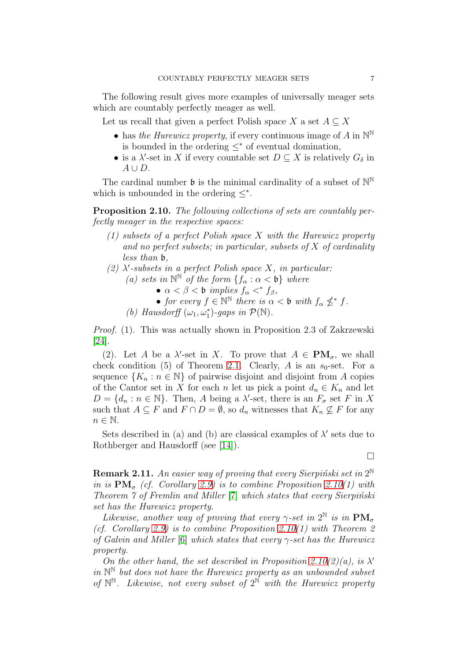The following result gives more examples of universally meager sets which are countably perfectly meager as well.

- Let us recall that given a perfect Polish space X a set  $A \subseteq X$ 
	- has the Hurewicz property, if every continuous image of A in  $\mathbb{N}^{\mathbb{N}}$ is bounded in the ordering  $\leq^*$  of eventual domination,
	- is a  $\lambda'$ -set in X if every countable set  $D \subseteq X$  is relatively  $G_{\delta}$  in  $A \cup D$ .

The cardinal number  $\mathfrak b$  is the minimal cardinality of a subset of  $\mathbb N^{\mathbb N}$ which is unbounded in the ordering  $\leq^*$ .

<span id="page-6-0"></span>Proposition 2.10. The following collections of sets are countably perfectly meager in the respective spaces:

- (1) subsets of a perfect Polish space X with the Hurewicz property and no perfect subsets; in particular, subsets of  $X$  of cardinality less than b,
- (2)  $\lambda'$ -subsets in a perfect Polish space X, in particular:
	- (a) sets in  $\mathbb{N}^{\mathbb{N}}$  of the form  $\{f_{\alpha} : \alpha < \mathfrak{b}\}\$  where
		- $\alpha < \beta <$  b implies  $f_{\alpha} <^* f_{\beta}$ ,
		- for every  $f \in \mathbb{N}^{\mathbb{N}}$  there is  $\alpha < \mathfrak{b}$  with  $f_{\alpha} \nleq^* f$ .
	- (b) Hausdorff  $(\omega_1, \omega_1^*)$ -gaps in  $\mathcal{P}(\mathbb{N})$ .

Proof. (1). This was actually shown in Proposition 2.3 of Zakrzewski [\[24\]](#page-16-0).

(2). Let A be a  $\lambda'$ -set in X. To prove that  $A \in PM_{\sigma}$ , we shall check condition (5) of Theorem [2.1.](#page-2-1) Clearly, A is an  $s_0$ -set. For a sequence  $\{K_n : n \in \mathbb{N}\}\$  of pairwise disjoint and disjoint from A copies of the Cantor set in X for each n let us pick a point  $d_n \in K_n$  and let  $D = \{d_n : n \in \mathbb{N}\}\.$  Then, A being a  $\lambda'$ -set, there is an  $F_{\sigma}$  set F in X such that  $A \subseteq F$  and  $F \cap D = \emptyset$ , so  $d_n$  witnesses that  $K_n \nsubseteq F$  for any  $n \in \mathbb{N}$ .

Sets described in (a) and (b) are classical examples of  $\lambda'$  sets due to Rothberger and Hausdorff (see [\[14\]](#page-16-10)).

 $\Box$ 

**Remark 2.11.** An easier way of proving that every Sierpiński set in  $2^{\mathbb{N}}$ in is  $\text{PM}_{\sigma}$  (cf. Corollary [2.9\)](#page-5-2) is to combine Proposition [2.10\(](#page-6-0)1) with Theorem  $\gamma$  of Fremlin and Miller  $[\tau]$  which states that every Sierpinski set has the Hurewicz property.

Likewise, another way of proving that every  $\gamma$ -set in  $2^{\mathbb{N}}$  is in  $\mathbf{PM}_{\sigma}$ (cf. Corollary [2.9\)](#page-5-2) is to combine Proposition [2.10\(](#page-6-0)1) with Theorem 2 of Galvin and Miller [\[6\]](#page-15-7) which states that every  $\gamma$ -set has the Hurewicz property.

On the other hand, the set described in Proposition [2.10\(](#page-6-0)2)(a), is  $\lambda'$ in  $\mathbb{N}^{\mathbb{N}}$  but does not have the Hurewicz property as an unbounded subset of  $\mathbb{N}^{\mathbb{N}}$ . Likewise, not every subset of  $2^{\mathbb{N}}$  with the Hurewicz property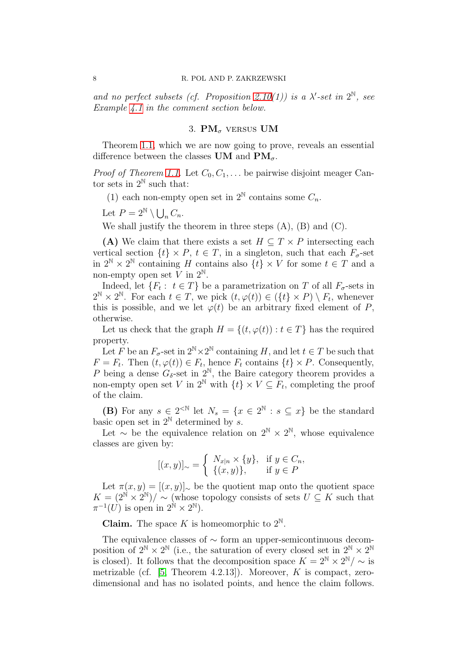<span id="page-7-0"></span>and no perfect subsets (cf. Proposition [2.10\(](#page-6-0)1)) is a  $\lambda'$ -set in  $2^{\mathbb{N}}$ , see Example [4.1](#page-11-0) in the comment section below.

# 3.  $PM_{\sigma}$  versus UM

Theorem [1.1,](#page-1-0) which we are now going to prove, reveals an essential difference between the classes UM and  $\text{PM}_{\sigma}$ .

*Proof of Theorem [1.1.](#page-1-0)* Let  $C_0, C_1, \ldots$  be pairwise disjoint meager Cantor sets in  $2^{\mathbb{N}}$  such that:

(1) each non-empty open set in  $2^N$  contains some  $C_n$ .

Let  $P = 2^{\mathbb{N}} \setminus \bigcup_n C_n$ .

We shall justify the theorem in three steps  $(A)$ ,  $(B)$  and  $(C)$ .

(A) We claim that there exists a set  $H \subseteq T \times P$  intersecting each vertical section  $\{t\} \times P$ ,  $t \in T$ , in a singleton, such that each  $F_{\sigma}$ -set in  $2^{\mathbb{N}} \times 2^{\mathbb{N}}$  containing H contains also  $\{t\} \times V$  for some  $t \in T$  and a non-empty open set V in  $2^{\mathbb{N}}$ .

Indeed, let  $\{F_t: t \in T\}$  be a parametrization on T of all  $F_{\sigma}$ -sets in  $2^{\mathbb{N}} \times 2^{\mathbb{N}}$ . For each  $t \in T$ , we pick  $(t, \varphi(t)) \in (\{t\} \times P) \setminus F_t$ , whenever this is possible, and we let  $\varphi(t)$  be an arbitrary fixed element of P, otherwise.

Let us check that the graph  $H = \{(t, \varphi(t)) : t \in T\}$  has the required property.

Let F be an  $F_{\sigma}$ -set in  $2^{\mathbb{N}} \times 2^{\mathbb{N}}$  containing H, and let  $t \in T$  be such that  $F = F_t$ . Then  $(t, \varphi(t)) \in F_t$ , hence  $F_t$  contains  $\{t\} \times P$ . Consequently, P being a dense  $G_{\delta}$ -set in  $2^{\mathbb{N}}$ , the Baire category theorem provides a non-empty open set V in  $2^{\mathbb{N}}$  with  $\{t\} \times V \subseteq F_t$ , completing the proof of the claim.

(B) For any  $s \in 2^{\leq N}$  let  $N_s = \{x \in 2^{\mathbb{N}} : s \subseteq x\}$  be the standard basic open set in  $2^{\mathbb{N}}$  determined by s.

Let  $\sim$  be the equivalence relation on  $2^{\mathbb{N}} \times 2^{\mathbb{N}}$ , whose equivalence classes are given by:

$$
[(x,y)]_{\sim} = \begin{cases} N_{x|n} \times \{y\}, & \text{if } y \in C_n, \\ \{(x,y)\}, & \text{if } y \in P \end{cases}
$$

Let  $\pi(x, y) = [(x, y)]_{\sim}$  be the quotient map onto the quotient space  $K = (2^{\mathbb{N}} \times 2^{\mathbb{N}}) / \sim$  (whose topology consists of sets  $U \subseteq K$  such that  $\pi^{-1}(U)$  is open in  $2^{\mathbb{N}} \times 2^{\mathbb{N}}$ ).

**Claim.** The space K is homeomorphic to  $2^{\mathbb{N}}$ .

The equivalence classes of ∼ form an upper-semicontinuous decomposition of  $2^{\mathbb{N}} \times 2^{\mathbb{N}}$  (i.e., the saturation of every closed set in  $2^{\mathbb{N}} \times 2^{\mathbb{N}}$ is closed). It follows that the decomposition space  $K = 2^N \times 2^N / \sim$  is metrizable (cf.  $[5,$  Theorem 4.2.13]). Moreover, K is compact, zerodimensional and has no isolated points, and hence the claim follows.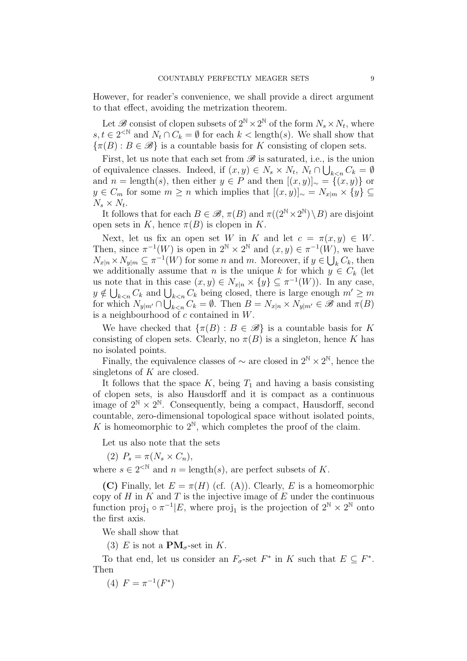However, for reader's convenience, we shall provide a direct argument to that effect, avoiding the metrization theorem.

Let  $\mathscr{B}$  consist of clopen subsets of  $2^{\mathbb{N}} \times 2^{\mathbb{N}}$  of the form  $N_s \times N_t$ , where  $s, t \in 2^{\leq N}$  and  $N_t \cap C_k = \emptyset$  for each  $k <$  length(s). We shall show that  $\{\pi(B): B \in \mathscr{B}\}\$ is a countable basis for K consisting of clopen sets.

First, let us note that each set from  $\mathscr B$  is saturated, i.e., is the union of equivalence classes. Indeed, if  $(x, y) \in N_s \times N_t$ ,  $N_t \cap \bigcup_{k \leq n} C_k = \emptyset$ and  $n = \text{length}(s)$ , then either  $y \in P$  and then  $[(x, y)]_{\sim} = \{(x, y)\}\$ or y ∈  $C_m$  for some  $m \geq n$  which implies that  $[(x, y)]_{\sim} = N_{x|m} \times \{y\} \subseteq$  $N_s \times N_t$ .

It follows that for each  $B \in \mathcal{B}$ ,  $\pi(B)$  and  $\pi((2^{\mathbb{N}} \times 2^{\mathbb{N}}) \setminus B)$  are disjoint open sets in K, hence  $\pi(B)$  is clopen in K.

Next, let us fix an open set W in K and let  $c = \pi(x, y) \in W$ . Then, since  $\pi^{-1}(W)$  is open in  $2^{\mathbb{N}} \times 2^{\mathbb{N}}$  and  $(x, y) \in \pi^{-1}(W)$ , we have  $N_{x|n} \times N_{y|m} \subseteq \pi^{-1}(W)$  for some n and m. Moreover, if  $y \in \bigcup_{k}^{s} C_k$ , then we additionally assume that n is the unique k for which  $y \in C_k$  (let us note that in this case  $(x, y) \in N_{x|n} \times \{y\} \subseteq \pi^{-1}(W)$ ). In any case,  $y \notin \bigcup_{k < n} C_k$  and  $\bigcup_{k < n} C_k$  being closed, there is large enough  $m' \geq m$ for which  $N_{y|m'} \cap \bigcup_{k. Then  $B = N_{x|n} \times N_{y|m'} \in \mathscr{B}$  and  $\pi(B)$$ is a neighbourhood of  $c$  contained in  $W$ .

We have checked that  $\{\pi(B) : B \in \mathcal{B}\}\$ is a countable basis for K consisting of clopen sets. Clearly, no  $\pi(B)$  is a singleton, hence K has no isolated points.

Finally, the equivalence classes of  $\sim$  are closed in  $2^{\mathbb{N}} \times 2^{\mathbb{N}}$ , hence the singletons of  $K$  are closed.

It follows that the space  $K$ , being  $T_1$  and having a basis consisting of clopen sets, is also Hausdorff and it is compact as a continuous image of  $2^{\mathbb{N}} \times 2^{\mathbb{N}}$ . Consequently, being a compact, Hausdorff, second countable, zero-dimensional topological space without isolated points, K is homeomorphic to  $2^{\mathbb{N}}$ , which completes the proof of the claim.

Let us also note that the sets

(2)  $P_s = \pi(N_s \times C_n),$ 

where  $s \in 2^{\lt N}$  and  $n = \text{length}(s)$ , are perfect subsets of K.

(C) Finally, let  $E = \pi(H)$  (cf. (A)). Clearly, E is a homeomorphic copy of  $H$  in  $K$  and  $T$  is the injective image of  $E$  under the continuous function  $proj_1 \circ \pi^{-1} | E$ , where  $proj_1$  is the projection of  $2^{\mathbb{N}} \times 2^{\mathbb{N}}$  onto the first axis.

We shall show that

(3) E is not a  $\mathbf{PM}_{\sigma}$ -set in K.

To that end, let us consider an  $F_{\sigma}$ -set  $F^*$  in K such that  $E \subseteq F^*$ . Then

(4)  $F = \pi^{-1}(F^*)$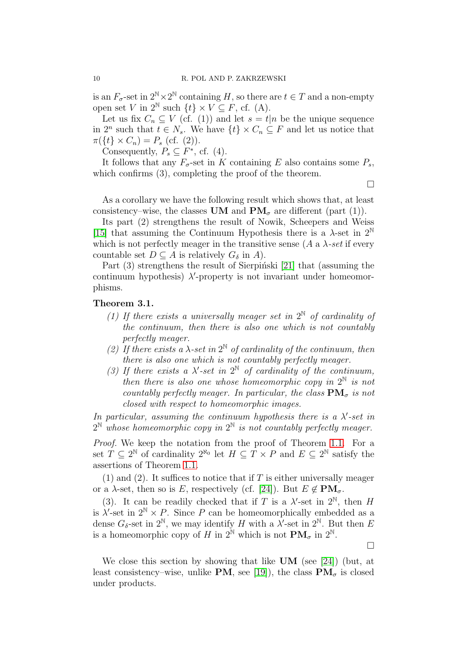is an  $F_{\sigma}$ -set in  $2^{\mathbb{N}} \times 2^{\mathbb{N}}$  containing H, so there are  $t \in T$  and a non-empty open set V in  $2^{\mathbb{N}}$  such  $\{t\} \times V \subseteq F$ , cf. (A).

Let us fix  $C_n \subseteq V$  (cf. (1)) and let  $s = t|n$  be the unique sequence in  $2^n$  such that  $t \in N_s$ . We have  $\{t\} \times C_n \subseteq F$  and let us notice that  $\pi({t} \times C_n) = P_s$  (cf. (2)).

Consequently,  $P_s \subseteq F^*$ , cf. (4).

It follows that any  $F_{\sigma}$ -set in K containing E also contains some  $P_s$ , which confirms  $(3)$ , completing the proof of the theorem.

 $\Box$ 

As a corollary we have the following result which shows that, at least consistency–wise, the classes UM and  $\mathbf{PM}_{\sigma}$  are different (part (1)).

Its part (2) strengthens the result of Nowik, Scheepers and Weiss [\[15\]](#page-16-4) that assuming the Continuum Hypothesis there is a  $\lambda$ -set in  $2^{\mathbb{N}}$ which is not perfectly meager in the transitive sense  $(A \text{ a } \lambda \text{-set if every})$ countable set  $D \subseteq A$  is relatively  $G_{\delta}$  in A).

Part  $(3)$  strengthens the result of Sierpinski [\[21\]](#page-16-2) that (assuming the continuum hypothesis)  $\lambda'$ -property is not invariant under homeomorphisms.

### <span id="page-9-0"></span>Theorem 3.1.

- (1) If there exists a universally meager set in  $2^{\mathbb{N}}$  of cardinality of the continuum, then there is also one which is not countably perfectly meager.
- (2) If there exists a  $\lambda$ -set in  $2^{\mathbb{N}}$  of cardinality of the continuum, then there is also one which is not countably perfectly meager.
- (3) If there exists a  $\lambda'$ -set in  $2^{\mathbb{N}}$  of cardinality of the continuum, then there is also one whose homeomorphic copy in  $2^{\mathbb{N}}$  is not countably perfectly meager. In particular, the class  $\mathbf{PM}_{\sigma}$  is not closed with respect to homeomorphic images.

In particular, assuming the continuum hypothesis there is a  $\lambda'$ -set in  $2^{\mathbb{N}}$  whose homeomorphic copy in  $2^{\mathbb{N}}$  is not countably perfectly meager.

Proof. We keep the notation from the proof of Theorem [1.1.](#page-1-0) For a set  $T \subseteq 2^{\mathbb{N}}$  of cardinality  $2^{\aleph_0}$  let  $H \subseteq T \times P$  and  $E \subseteq 2^{\mathbb{N}}$  satisfy the assertions of Theorem [1.1.](#page-1-0)

(1) and (2). It suffices to notice that if  $T$  is either universally meager or a  $\lambda$ -set, then so is E, respectively (cf. [\[24\]](#page-16-0)). But  $E \notin PM_{\sigma}$ .

(3). It can be readily checked that if T is a  $\lambda'$ -set in  $2^N$ , then H is  $\lambda'$ -set in  $2^{\mathbb{N}} \times P$ . Since P can be homeomorphically embedded as a dense  $G_{\delta}$ -set in  $2^{\mathbb{N}}$ , we may identify H with a  $\lambda'$ -set in  $2^{\mathbb{N}}$ . But then E is a homeomorphic copy of H in  $2^{\mathbb{N}}$  which is not  $\mathbf{PM}_{\sigma}$  in  $2^{\mathbb{N}}$ .

 $\Box$ 

We close this section by showing that like UM (see [\[24\]](#page-16-0)) (but, at least consistency–wise, unlike PM, see [\[19\]](#page-16-11)), the class  $\mathbf{PM}_{\sigma}$  is closed under products.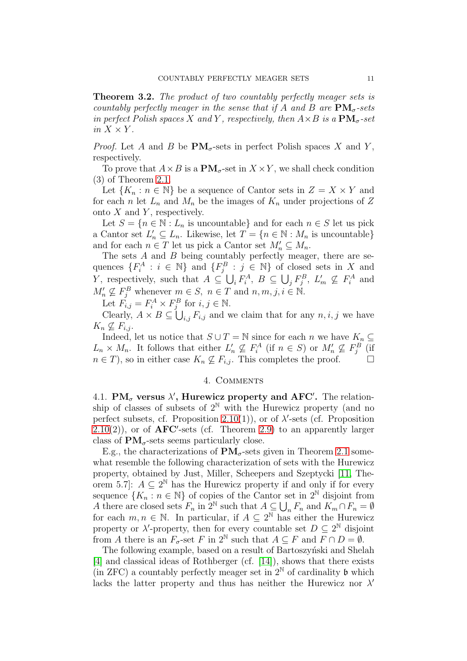<span id="page-10-0"></span>**Theorem 3.2.** The product of two countably perfectly meager sets is countably perfectly meager in the sense that if A and B are  $\text{PM}_{\sigma}$ -sets in perfect Polish spaces X and Y, respectively, then  $A \times B$  is a  $\text{PM}_{\sigma}$ -set in  $X \times Y$ .

*Proof.* Let A and B be  $\text{PM}_{\sigma}$ -sets in perfect Polish spaces X and Y, respectively.

To prove that  $A \times B$  is a  $\mathbf{PM}_{\sigma}$ -set in  $X \times Y$ , we shall check condition (3) of Theorem [2.1.](#page-2-1)

Let  $\{K_n : n \in \mathbb{N}\}\$ be a sequence of Cantor sets in  $Z = X \times Y$  and for each n let  $L_n$  and  $M_n$  be the images of  $K_n$  under projections of Z onto  $X$  and  $Y$ , respectively.

Let  $S = \{n \in \mathbb{N} : L_n \text{ is uncountable}\}\$ and for each  $n \in S$  let us pick a Cantor set  $L'_n \subseteq L_n$ . Likewise, let  $T = \{n \in \mathbb{N} : M_n \text{ is uncountable}\}\$ and for each  $n \in T$  let us pick a Cantor set  $M'_n \subseteq M_n$ .

The sets  $A$  and  $B$  being countably perfectly meager, there are sequences  $\{F_i^A : i \in \mathbb{N}\}\$  and  $\{F_j^B : j \in \mathbb{N}\}\$  of closed sets in X and Y, respectively, such that  $A \subseteq \bigcup_i F_i^A$ ,  $B \subseteq \bigcup_j F_j^B$ ,  $L'_m \nsubseteq F_i^A$  and  $M'_n \nsubseteq F_j^B$  whenever  $m \in S$ ,  $n \in T$  and  $n, m, j, i \in \mathbb{N}$ .

Let  $F_{i,j} = F_i^A \times F_j^B$  for  $i, j \in \mathbb{N}$ .

Clearly,  $A \times B \subseteq \bigcup_{i,j} F_{i,j}$  and we claim that for any  $n, i, j$  we have  $K_n \nsubseteq F_{i,j}$ .

Indeed, let us notice that  $S \cup T = \mathbb{N}$  since for each n we have  $K_n \subseteq$  $L_n \times M_n$ . It follows that either  $L'_n \nsubseteq F_i^A$  (if  $n \in S$ ) or  $M'_n \nsubseteq F_j^B$  (if  $n \in T$ , so in either case  $K_n \nsubseteq F_{i,j}$ . This completes the proof.  $\Box$ 

### 4. Comments

<span id="page-10-2"></span><span id="page-10-1"></span>4.1. PM<sub> $\sigma$ </sub> versus  $\lambda'$ , Hurewicz property and AFC'. The relationship of classes of subsets of  $2^N$  with the Hurewicz property (and no perfect subsets, cf. Proposition [2.10\(](#page-6-0)1)), or of  $\lambda'$ -sets (cf. Proposition  $2.10(2)$  $2.10(2)$ , or of  $\text{AFC}'$ -sets (cf. Theorem [2.9\)](#page-5-2) to an apparently larger class of  $PM_{\sigma}$ -sets seems particularly close.

E.g., the characterizations of  $\text{PM}_{\sigma}$ -sets given in Theorem [2.1](#page-2-1) somewhat resemble the following characterization of sets with the Hurewicz property, obtained by Just, Miller, Scheepers and Szeptycki [\[11,](#page-15-9) Theorem 5.7]:  $A \subseteq 2^{\mathbb{N}}$  has the Hurewicz property if and only if for every sequence  $\{K_n : n \in \mathbb{N}\}\$  of copies of the Cantor set in  $2^{\mathbb{N}}$  disjoint from A there are closed sets  $F_n$  in  $2^{\mathbb{N}}$  such that  $A \subseteq \bigcup_n F_n$  and  $K_m \cap F_n = \emptyset$ for each  $m, n \in \mathbb{N}$ . In particular, if  $A \subseteq 2^{\mathbb{N}}$  has either the Hurewicz property or  $\lambda'$ -property, then for every countable set  $D \subseteq 2^{\mathbb{N}}$  disjoint from A there is an  $F_{\sigma}$ -set F in  $2^{\mathbb{N}}$  such that  $A \subseteq F$  and  $F \cap D = \emptyset$ .

The following example, based on a result of Bartoszynski and Shelah [\[4\]](#page-15-10) and classical ideas of Rothberger (cf. [\[14\]](#page-16-10)), shows that there exists (in ZFC) a countably perfectly meager set in  $2^N$  of cardinality b which lacks the latter property and thus has neither the Hurewicz nor  $\lambda'$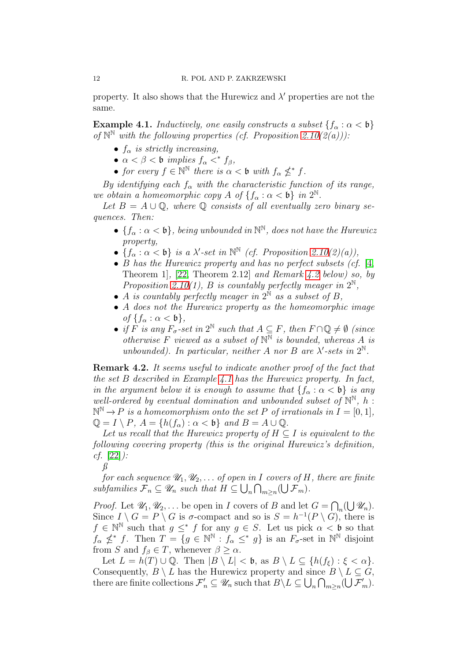property. It also shows that the Hurewicz and  $\lambda'$  properties are not the same.

<span id="page-11-0"></span>**Example 4.1.** Inductively, one easily constructs a subset  $\{f_{\alpha} : \alpha < \mathfrak{b}\}\$ of  $\mathbb{N}^{\mathbb{N}}$  with the following properties (cf. Proposition [2.10\(](#page-6-0)2(a))):

- $f_{\alpha}$  is strictly increasing,
- $\alpha < \beta <$  b implies  $f_{\alpha} <^* f_{\beta}$ ,
- for every  $f \in \mathbb{N}^{\mathbb{N}}$  there is  $\alpha < \mathfrak{b}$  with  $f_{\alpha} \nleq^* f$ .

By identifying each  $f_{\alpha}$  with the characteristic function of its range, we obtain a homeomorphic copy  $A$  of  $\{f_{\alpha} : \alpha < \mathfrak{b}\}\$ in  $2^{\mathbb{N}}$ .

Let  $B = A \cup \mathbb{Q}$ , where  $\mathbb{Q}$  consists of all eventually zero binary sequences. Then:

- $\{f_{\alpha} : \alpha < \mathfrak{b}\}\$ , being unbounded in  $\mathbb{N}^{\mathbb{N}}\$ , does not have the Hurewicz property,
- $\{f_{\alpha} : \alpha < b\}$  is a  $\lambda'$ -set in  $\mathbb{N}^{\mathbb{N}}$  (cf. Proposition [2.10\(](#page-6-0)2)(a)),
- B has the Hurewicz property and has no perfect subsets (cf. [\[4,](#page-15-10) Theorem 1], [\[22,](#page-16-12) Theorem 2.12] and Remark [4.2](#page-11-1) below) so, by Proposition [2.10\(](#page-6-0)1), B is countably perfectly meager in  $2^{\mathbb{N}}$ ,
- A is countably perfectly meager in  $2^{\mathbb{N}}$  as a subset of B,
- A does not the Hurewicz property as the homeomorphic image of  $\{f_\alpha : \alpha < \mathfrak{b}\},\$
- if F is any  $F_{\sigma}$ -set in  $2^{\mathbb{N}}$  such that  $A \subseteq F$ , then  $F \cap \mathbb{Q} \neq \emptyset$  (since otherwise F viewed as a subset of  $\mathbb{N}^{\mathbb{N}}$  is bounded, whereas A is unbounded). In particular, neither A nor B are  $\lambda'$ -sets in  $2^{\mathbb{N}}$ .

<span id="page-11-1"></span>Remark 4.2. It seems useful to indicate another proof of the fact that the set  $B$  described in Example [4.1](#page-11-0) has the Hurewicz property. In fact, in the argument below it is enough to assume that  $\{f_\alpha : \alpha < \mathfrak{b}\}\$ is any well-ordered by eventual domination and unbounded subset of  $\mathbb{N}^{\mathbb{N}}$ , h:  $\mathbb{N}^{\mathbb{N}} \to P$  is a homeomorphism onto the set P of irrationals in  $I = [0,1],$  $\mathbb{Q} = I \setminus P$ ,  $A = \{h(f_\alpha) : \alpha < \mathfrak{b}\}\$ and  $B = A \cup \mathbb{Q}$ .

Let us recall that the Hurewicz property of  $H \subseteq I$  is equivalent to the following covering property (this is the original Hurewicz's definition,  $cf. [22]$  $cf. [22]$ :

ß

for each sequence  $\mathcal{U}_1, \mathcal{U}_2, \ldots$  of open in I covers of H, there are finite subfamilies  $\mathcal{F}_n \subseteq \mathscr{U}_n$  such that  $H \subseteq \bigcup_n \bigcap_{m \geq n} (\bigcup \mathcal{F}_m)$ .

*Proof.* Let  $\mathcal{U}_1, \mathcal{U}_2, \ldots$  be open in *I* covers of *B* and let  $G = \bigcap_n (\bigcup \mathcal{U}_n)$ . Since  $I \setminus G = P \setminus G$  is  $\sigma$ -compact and so is  $S = h^{-1}(P \setminus G)$ , there is  $f \in \mathbb{N}^{\mathbb{N}}$  such that  $g \leq^* f$  for any  $g \in S$ . Let us pick  $\alpha < \mathfrak{b}$  so that  $f_{\alpha} \nleq^* f$ . Then  $T = \{g \in \mathbb{N}^{\mathbb{N}} : f_{\alpha} \leq^* g\}$  is an  $F_{\sigma}$ -set in  $\mathbb{N}^{\mathbb{N}}$  disjoint from S and  $f_{\beta} \in T$ , whenever  $\beta \geq \alpha$ .

Let  $L = h(T) \cup \mathbb{Q}$ . Then  $|B \setminus L| < \mathfrak{b}$ , as  $B \setminus L \subseteq \{h(f_{\varepsilon}) : \xi < \alpha\}.$ Consequently,  $B \setminus L$  has the Hurewicz property and since  $B \setminus L \subseteq G$ , there are finite collections  $\mathcal{F}'_n \subseteq \mathscr{U}_n$  such that  $B \setminus L \subseteq \bigcup_n \bigcap_{m \geq n} (\bigcup \mathcal{F}'_m)$ .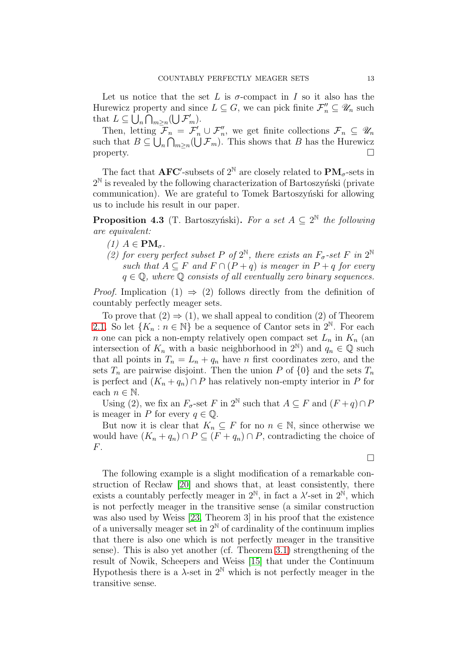Let us notice that the set L is  $\sigma$ -compact in I so it also has the Hurewicz property and since  $L \subseteq G$ , we can pick finite  $\mathcal{F}''_n \subseteq \mathscr{U}_n$  such that  $L \subseteq \bigcup_n \bigcap_{m \geq n} (\bigcup \mathcal{F}'_m)$ .

Then, letting  $\mathcal{F}_n = \mathcal{F}'_n \cup \mathcal{F}''_n$ , we get finite collections  $\mathcal{F}_n \subseteq \mathscr{U}_n$ such that  $B \subseteq \bigcup_n \bigcap_{m \geq n} (\bigcup \mathcal{F}_m)$ . This shows that B has the Hurewicz property.  $\Box$ 

The fact that  $\text{AFC}'$ -subsets of  $2^{\mathbb{N}}$  are closely related to  $\text{PM}_{\sigma}$ -sets in  $2^{\mathbb{N}}$  is revealed by the following characterization of Bartoszyński (private communication). We are grateful to Tomek Bartoszyński for allowing us to include his result in our paper.

**Proposition 4.3** (T. Bartoszyński). For a set  $A \subseteq 2^{\mathbb{N}}$  the following are equivalent:

- (1)  $A \in PM_{\sigma}$ .
- (2) for every perfect subset P of  $2^{\mathbb{N}}$ , there exists an  $F_{\sigma}$ -set F in  $2^{\mathbb{N}}$ such that  $A \subseteq F$  and  $F \cap (P + q)$  is meager in  $P + q$  for every  $q \in \mathbb{Q}$ , where  $\mathbb Q$  consists of all eventually zero binary sequences.

*Proof.* Implication (1)  $\Rightarrow$  (2) follows directly from the definition of countably perfectly meager sets.

To prove that  $(2) \Rightarrow (1)$ , we shall appeal to condition  $(2)$  of Theorem [2.1.](#page-2-1) So let  $\{K_n : n \in \mathbb{N}\}\$  be a sequence of Cantor sets in  $2^{\mathbb{N}}$ . For each n one can pick a non-empty relatively open compact set  $L_n$  in  $K_n$  (an intersection of  $K_n$  with a basic neighborhood in  $2^N$ ) and  $q_n \in \mathbb{Q}$  such that all points in  $T_n = L_n + q_n$  have n first coordinates zero, and the sets  $T_n$  are pairwise disjoint. Then the union P of  $\{0\}$  and the sets  $T_n$ is perfect and  $(K_n + q_n) \cap P$  has relatively non-empty interior in P for each  $n \in \mathbb{N}$ .

Using (2), we fix an  $F_{\sigma}$ -set F in 2<sup>N</sup> such that  $A \subseteq F$  and  $(F+q) \cap F$ is meager in P for every  $q \in \mathbb{Q}$ .

But now it is clear that  $K_n \subseteq F$  for no  $n \in \mathbb{N}$ , since otherwise we would have  $(K_n + q_n) \cap P \subseteq (F + q_n) \cap P$ , contradicting the choice of F.

 $\Box$ 

The following example is a slight modification of a remarkable con-struction of Reclaw [\[20\]](#page-16-13) and shows that, at least consistently, there exists a countably perfectly meager in  $2^{\mathbb{N}}$ , in fact a  $\lambda'$ -set in  $2^{\mathbb{N}}$ , which is not perfectly meager in the transitive sense (a similar construction was also used by Weiss [\[23,](#page-16-6) Theorem 3] in his proof that the existence of a universally meager set in  $2^{\mathbb{N}}$  of cardinality of the continuum implies that there is also one which is not perfectly meager in the transitive sense). This is also yet another (cf. Theorem [3.1\)](#page-9-0) strengthening of the result of Nowik, Scheepers and Weiss [\[15\]](#page-16-4) that under the Continuum Hypothesis there is a  $\lambda$ -set in  $2^{\mathbb{N}}$  which is not perfectly meager in the transitive sense.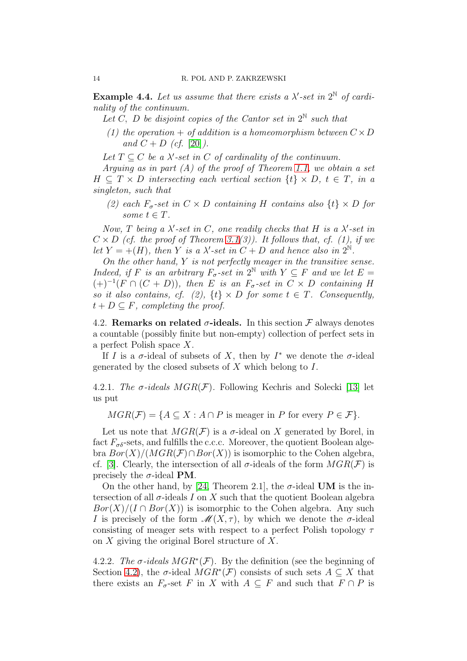<span id="page-13-0"></span>**Example 4.4.** Let us assume that there exists a  $\lambda'$ -set in  $2^{\mathbb{N}}$  of cardinality of the continuum.

- Let C, D be disjoint copies of the Cantor set in  $2^N$  such that
- (1) the operation + of addition is a homeomorphism between  $C \times D$ and  $C + D$  (cf. [\[20\]](#page-16-13)).

Let  $T \subseteq C$  be a  $\lambda'$ -set in C of cardinality of the continuum.

Arguing as in part  $(A)$  of the proof of Theorem [1.1,](#page-1-0) we obtain a set  $H \subseteq T \times D$  intersecting each vertical section  $\{t\} \times D$ ,  $t \in T$ , in a singleton, such that

(2) each  $F_{\sigma}$ -set in  $C \times D$  containing H contains also  $\{t\} \times D$  for some  $t \in T$ .

Now, T being a  $\lambda'$ -set in C, one readily checks that H is a  $\lambda'$ -set in  $C \times D$  (cf. the proof of Theorem [3.1\(](#page-9-0)3)). It follows that, cf. (1), if we let  $Y = +(H)$ , then Y is a  $\lambda'$ -set in  $C + D$  and hence also in  $2^{\mathbb{N}}$ .

On the other hand,  $Y$  is not perfectly meager in the transitive sense. Indeed, if F is an arbitrary  $F_{\sigma}$ -set in  $2^{\mathbb{N}}$  with  $Y \subseteq F$  and we let  $E =$  $(+)^{-1}(F \cap (C + D))$ , then E is an  $F_{\sigma}$ -set in  $C \times D$  containing H so it also contains, cf. (2),  $\{t\} \times D$  for some  $t \in T$ . Consequently,  $t + D \subseteq F$ , completing the proof.

<span id="page-13-1"></span>4.2. Remarks on related  $\sigma$ -ideals. In this section  $\mathcal F$  always denotes a countable (possibly finite but non-empty) collection of perfect sets in a perfect Polish space X.

If I is a  $\sigma$ -ideal of subsets of X, then by  $I^*$  we denote the  $\sigma$ -ideal generated by the closed subsets of  $X$  which belong to  $I$ .

4.2.1. The  $\sigma$ -ideals  $MGR(\mathcal{F})$ . Following Kechris and Solecki [\[13\]](#page-16-14) let us put

 $MGR(\mathcal{F}) = \{A \subseteq X : A \cap P \text{ is meager in } P \text{ for every } P \in \mathcal{F}\}.$ 

Let us note that  $MGR(\mathcal{F})$  is a  $\sigma$ -ideal on X generated by Borel, in fact  $F_{\sigma\delta}$ -sets, and fulfills the c.c.c. Moreover, the quotient Boolean algebra  $Bor(X)/(MGR(\mathcal{F}) \cap Bor(X))$  is isomorphic to the Cohen algebra, cf. [\[3\]](#page-15-1). Clearly, the intersection of all  $\sigma$ -ideals of the form  $MGR(\mathcal{F})$  is precisely the  $\sigma$ -ideal **PM**.

On the other hand, by [\[24,](#page-16-0) Theorem 2.1], the  $\sigma$ -ideal **UM** is the intersection of all  $\sigma$ -ideals I on X such that the quotient Boolean algebra  $Bor(X)/(I \cap Bor(X))$  is isomorphic to the Cohen algebra. Any such I is precisely of the form  $\mathscr{M}(X,\tau)$ , by which we denote the  $\sigma$ -ideal consisting of meager sets with respect to a perfect Polish topology  $\tau$ on X giving the original Borel structure of X.

4.2.2. The  $\sigma$ -ideals  $MGR^*(\mathcal{F})$ . By the definition (see the beginning of Section [4.2\)](#page-13-1), the  $\sigma$ -ideal  $MGR^*(\mathcal{F})$  consists of such sets  $A \subseteq X$  that there exists an  $F_{\sigma}$ -set F in X with  $A \subseteq F$  and such that  $F \cap P$  is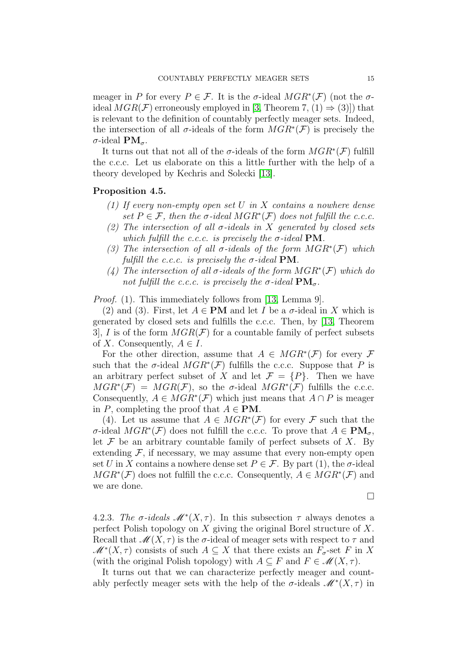meager in P for every  $P \in \mathcal{F}$ . It is the  $\sigma$ -ideal  $MGR^*(\mathcal{F})$  (not the  $\sigma$ ideal  $MGR(\mathcal{F})$  erroneously employed in [\[3,](#page-15-1) Theorem 7, (1)  $\Rightarrow$  (3)]) that is relevant to the definition of countably perfectly meager sets. Indeed, the intersection of all  $\sigma$ -ideals of the form  $MGR^*(\mathcal{F})$  is precisely the σ-ideal  $PM_{σ}$ .

It turns out that not all of the  $\sigma$ -ideals of the form  $MGR^*(\mathcal{F})$  fulfill the c.c.c. Let us elaborate on this a little further with the help of a theory developed by Kechris and Solecki [\[13\]](#page-16-14).

### <span id="page-14-0"></span>Proposition 4.5.

- (1) If every non-empty open set U in X contains a nowhere dense set  $P \in \mathcal{F}$ , then the  $\sigma$ -ideal  $MGR^*(\mathcal{F})$  does not fulfill the c.c.c.
- (2) The intersection of all  $\sigma$ -ideals in X generated by closed sets which fulfill the c.c.c. is precisely the  $\sigma$ -ideal PM.
- (3) The intersection of all  $\sigma$ -ideals of the form  $MGR^*(\mathcal{F})$  which fulfill the c.c.c. is precisely the  $\sigma$ -ideal **PM**.
- (4) The intersection of all  $\sigma$ -ideals of the form  $MGR^*(\mathcal{F})$  which do not fulfill the c.c.c. is precisely the  $\sigma$ -ideal  $\mathbf{PM}_{\sigma}$ .

*Proof.* (1). This immediately follows from [\[13,](#page-16-14) Lemma 9].

(2) and (3). First, let  $A \in PM$  and let I be a  $\sigma$ -ideal in X which is generated by closed sets and fulfills the c.c.c. Then, by [\[13,](#page-16-14) Theorem 3, I is of the form  $MGR(\mathcal{F})$  for a countable family of perfect subsets of X. Consequently,  $A \in I$ .

For the other direction, assume that  $A \in MGR^*(\mathcal{F})$  for every  $\mathcal F$ such that the  $\sigma$ -ideal  $MGR^*(\mathcal{F})$  fulfills the c.c.c. Suppose that P is an arbitrary perfect subset of X and let  $\mathcal{F} = \{P\}$ . Then we have  $MGR^*(\mathcal{F}) = MGR(\mathcal{F})$ , so the  $\sigma$ -ideal  $MGR^*(\mathcal{F})$  fulfills the c.c.c. Consequently,  $A \in MGR^*(\mathcal{F})$  which just means that  $A \cap P$  is meager in P, completing the proof that  $A \in PM$ .

(4). Let us assume that  $A \in MGR^*(\mathcal{F})$  for every  $\mathcal F$  such that the σ-ideal  $MGR^*(\mathcal{F})$  does not fulfill the c.c.c. To prove that  $A \in PM_{\sigma}$ , let  $\mathcal F$  be an arbitrary countable family of perfect subsets of  $X$ . By extending  $F$ , if necessary, we may assume that every non-empty open set U in X contains a nowhere dense set  $P \in \mathcal{F}$ . By part (1), the  $\sigma$ -ideal  $MGR^*(\mathcal{F})$  does not fulfill the c.c.c. Consequently,  $A \in MGR^*(\mathcal{F})$  and we are done.

 $\Box$ 

4.2.3. The  $\sigma$ -ideals  $\mathscr{M}^*(X,\tau)$ . In this subsection  $\tau$  always denotes a perfect Polish topology on  $X$  giving the original Borel structure of  $X$ . Recall that  $\mathscr{M}(X,\tau)$  is the  $\sigma$ -ideal of meager sets with respect to  $\tau$  and  $\mathscr{M}^*(X,\tau)$  consists of such  $A\subseteq X$  that there exists an  $F_{\sigma}$ -set F in X (with the original Polish topology) with  $A \subseteq F$  and  $F \in \mathcal{M}(X, \tau)$ .

It turns out that we can characterize perfectly meager and countably perfectly meager sets with the help of the  $\sigma$ -ideals  $\mathscr{M}^*(X,\tau)$  in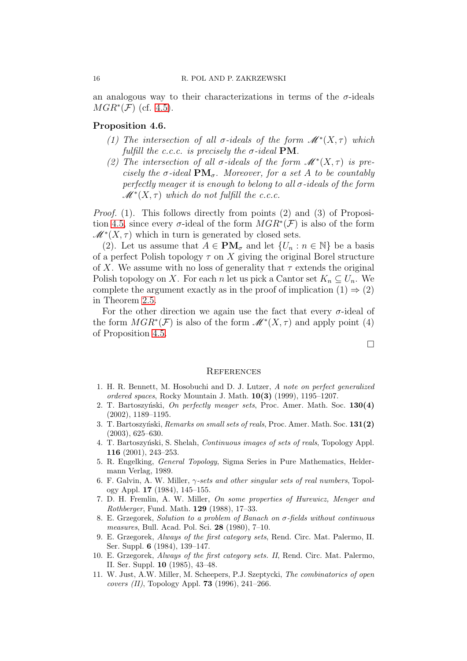an analogous way to their characterizations in terms of the  $\sigma$ -ideals  $MGR^*(\mathcal{F})$  (cf. [4.5\)](#page-14-0).

### Proposition 4.6.

- (1) The intersection of all  $\sigma$ -ideals of the form  $\mathscr{M}^*(X,\tau)$  which fulfill the c.c.c. is precisely the  $\sigma$ -ideal PM.
- (2) The intersection of all  $\sigma$ -ideals of the form  $\mathscr{M}^*(X,\tau)$  is precisely the  $\sigma$ -ideal  $\mathbf{PM}_{\sigma}$ . Moreover, for a set A to be countably perfectly meager it is enough to belong to all  $\sigma$ -ideals of the form  $\mathscr{M}^*(X,\tau)$  which do not fulfill the c.c.c.

*Proof.* (1). This follows directly from points (2) and (3) of Proposi-tion [4.5,](#page-14-0) since every  $\sigma$ -ideal of the form  $MGR^*(\mathcal{F})$  is also of the form  $\mathscr{M}^*(X,\tau)$  which in turn is generated by closed sets.

(2). Let us assume that  $A \in PM_{\sigma}$  and let  $\{U_n : n \in \mathbb{N}\}\$  be a basis of a perfect Polish topology  $\tau$  on X giving the original Borel structure of X. We assume with no loss of generality that  $\tau$  extends the original Polish topology on X. For each n let us pick a Cantor set  $K_n \subseteq U_n$ . We complete the argument exactly as in the proof of implication  $(1) \Rightarrow (2)$ in Theorem [2.5.](#page-4-0)

For the other direction we again use the fact that every  $\sigma$ -ideal of the form  $MGR^*(\mathcal{F})$  is also of the form  $\mathscr{M}^*(X,\tau)$  and apply point (4) of Proposition [4.5.](#page-14-0)

 $\Box$ 

#### **REFERENCES**

- <span id="page-15-5"></span>1. H. R. Bennett, M. Hosobuchi and D. J. Lutzer, *A note on perfect generalized ordered spaces*, Rocky Mountain J. Math. 10(3) (1999), 1195–1207.
- <span id="page-15-0"></span>2. T. Bartoszy´nski, *On perfectly meager sets*, Proc. Amer. Math. Soc. 130(4) (2002), 1189–1195.
- <span id="page-15-1"></span>3. T. Bartoszy´nski, *Remarks on small sets of reals*, Proc. Amer. Math. Soc. 131(2) (2003), 625–630.
- <span id="page-15-10"></span>4. T. Bartoszy´nski, S. Shelah, *Continuous images of sets of reals*, Topology Appl. 116 (2001), 243–253.
- <span id="page-15-8"></span>5. R. Engelking, *General Topology*, Sigma Series in Pure Mathematics, Heldermann Verlag, 1989.
- <span id="page-15-7"></span>6. F. Galvin, A. W. Miller, γ*-sets and other singular sets of real numbers*, Topology Appl. 17 (1984), 145–155.
- <span id="page-15-6"></span>7. D. H. Fremlin, A. W. Miller, *On some properties of Hurewicz, Menger and Rothberger*, Fund. Math. 129 (1988), 17–33.
- <span id="page-15-2"></span>8. E. Grzegorek, *Solution to a problem of Banach on* σ*-fields without continuous measures*, Bull. Acad. Pol. Sci. 28 (1980), 7–10.
- <span id="page-15-3"></span>9. E. Grzegorek, *Always of the first category sets*, Rend. Circ. Mat. Palermo, II. Ser. Suppl. 6 (1984), 139–147.
- <span id="page-15-4"></span>10. E. Grzegorek, *Always of the first category sets. II*, Rend. Circ. Mat. Palermo, II. Ser. Suppl. 10 (1985), 43–48.
- <span id="page-15-9"></span>11. W. Just, A.W. Miller, M. Scheepers, P.J. Szeptycki, *The combinatorics of open covers (II)*, Topology Appl. 73 (1996), 241–266.